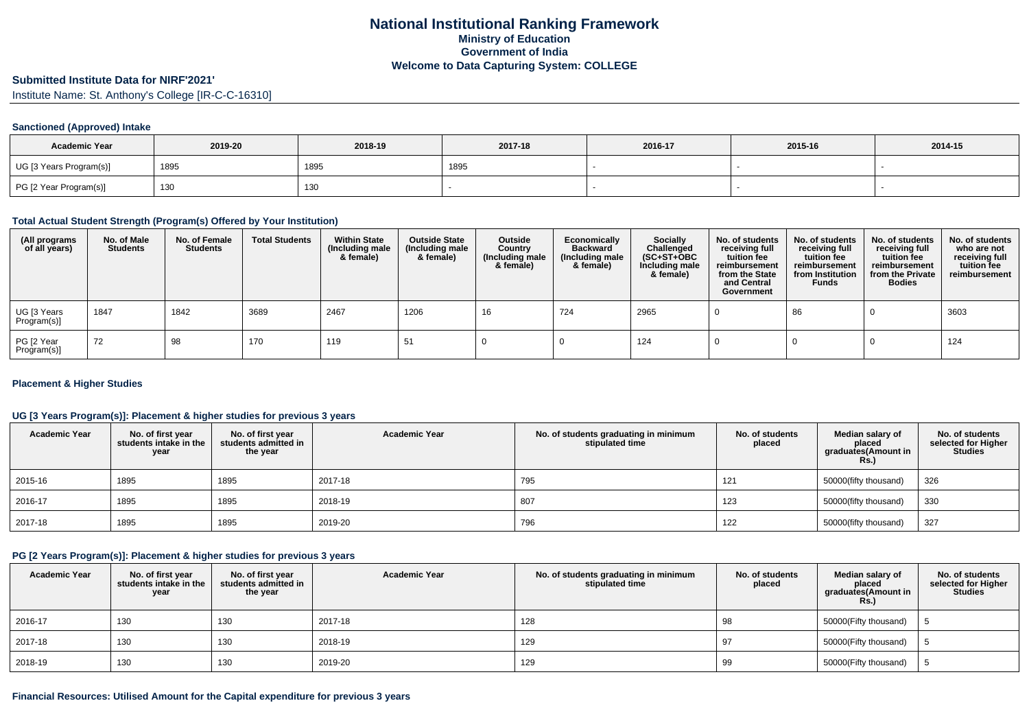### **Submitted Institute Data for NIRF'2021'**

Institute Name: St. Anthony's College [IR-C-C-16310]

#### **Sanctioned (Approved) Intake**

| <b>Academic Year</b>    | 2019-20 | 2018-19 | 2017-18 | 2016-17 | 2015-16 | 2014-15 |
|-------------------------|---------|---------|---------|---------|---------|---------|
| UG [3 Years Program(s)] | 1895    | 1895    | 1895    |         |         |         |
| PG [2 Year Program(s)]  | 130     | 130     |         |         |         |         |

#### **Total Actual Student Strength (Program(s) Offered by Your Institution)**

| (All programs<br>of all years) | No. of Male<br><b>Students</b> | No. of Female<br>Students | <b>Total Students</b> | <b>Within State</b><br>(Including male<br>& female) | <b>Outside State</b><br>(Including male<br>& female) | Outside<br>Country<br>(Including male<br>& female) | Economically<br><b>Backward</b><br>(Including male<br>& female) | <b>Socially</b><br>Challenged<br>$(SC+ST+OBC)$<br>Including male<br>& female) | No. of students<br>receiving full<br>tuition fee<br>reimbursement<br>from the State<br>and Central<br>Government | No. of students<br>receiving full<br>tuition fee<br>reimbursement<br>from Institution<br><b>Funds</b> | No. of students<br>receiving full<br>tuition fee<br>reimbursement<br>from the Private<br><b>Bodies</b> | No. of students<br>who are not<br>receiving full<br>tuition fee<br>reimbursement |
|--------------------------------|--------------------------------|---------------------------|-----------------------|-----------------------------------------------------|------------------------------------------------------|----------------------------------------------------|-----------------------------------------------------------------|-------------------------------------------------------------------------------|------------------------------------------------------------------------------------------------------------------|-------------------------------------------------------------------------------------------------------|--------------------------------------------------------------------------------------------------------|----------------------------------------------------------------------------------|
| UG [3 Years<br>Program(s)]     | 1847                           | 1842                      | 3689                  | 2467                                                | 1206                                                 | 16                                                 | 724                                                             | 2965                                                                          |                                                                                                                  | 86                                                                                                    |                                                                                                        | 3603                                                                             |
| PG [2 Year<br>Program(s)]      | 72                             | 98                        | 170                   | 119                                                 | 51                                                   |                                                    |                                                                 | 124                                                                           |                                                                                                                  |                                                                                                       |                                                                                                        | 124                                                                              |

#### **Placement & Higher Studies**

## **UG [3 Years Program(s)]: Placement & higher studies for previous 3 years**

| <b>Academic Year</b> | No. of first year<br>students intake in the<br>year | No. of first year<br>students admitted in<br>the year | <b>Academic Year</b> | No. of students graduating in minimum<br>stipulated time | No. of students<br>placed | Median salary of<br>placed<br>graduates (Amount in<br><b>Rs.)</b> | No. of students<br>selected for Higher<br><b>Studies</b> |
|----------------------|-----------------------------------------------------|-------------------------------------------------------|----------------------|----------------------------------------------------------|---------------------------|-------------------------------------------------------------------|----------------------------------------------------------|
| 2015-16              | 1895                                                | 1895                                                  | 2017-18              | 795                                                      | 121                       | 50000(fifty thousand)                                             | 326                                                      |
| 2016-17              | 1895                                                | 1895                                                  | 2018-19              | 807                                                      | 123                       | 50000(fifty thousand)                                             | 330                                                      |
| 2017-18              | 1895                                                | 1895                                                  | 2019-20              | 796                                                      | 122                       | 50000(fifty thousand)                                             | 327                                                      |

### **PG [2 Years Program(s)]: Placement & higher studies for previous 3 years**

| <b>Academic Year</b> | No. of first year<br>students intake in the<br>year | No. of first year<br>students admitted in<br>the year | <b>Academic Year</b> | No. of students graduating in minimum<br>stipulated time | No. of students<br>placed | Median salarv of<br>placed<br>graduates(Amount in<br>Rs. | No. of students<br>selected for Higher<br><b>Studies</b> |
|----------------------|-----------------------------------------------------|-------------------------------------------------------|----------------------|----------------------------------------------------------|---------------------------|----------------------------------------------------------|----------------------------------------------------------|
| 2016-17              | 130                                                 | 130                                                   | 2017-18              | 128                                                      | 98                        | 50000(Fifty thousand)                                    |                                                          |
| 2017-18              | 130                                                 | 130                                                   | 2018-19              | 129                                                      | 97                        | 50000(Fifty thousand)                                    |                                                          |
| 2018-19              | 130                                                 | 130                                                   | 2019-20              | 129                                                      | 99                        | 50000(Fifty thousand)                                    |                                                          |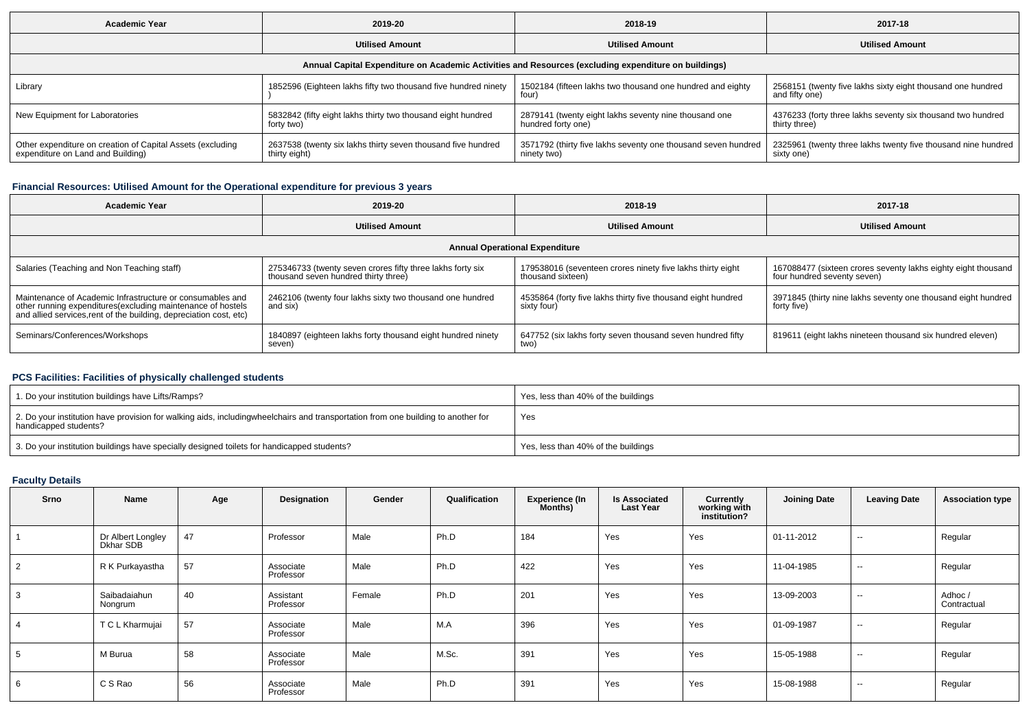| <b>Academic Year</b>                                                                                 | 2019-20                                                                       | 2018-19                                                                      | 2017-18                                                                       |  |  |  |  |  |  |  |  |
|------------------------------------------------------------------------------------------------------|-------------------------------------------------------------------------------|------------------------------------------------------------------------------|-------------------------------------------------------------------------------|--|--|--|--|--|--|--|--|
|                                                                                                      | <b>Utilised Amount</b>                                                        | <b>Utilised Amount</b>                                                       | <b>Utilised Amount</b>                                                        |  |  |  |  |  |  |  |  |
| Annual Capital Expenditure on Academic Activities and Resources (excluding expenditure on buildings) |                                                                               |                                                                              |                                                                               |  |  |  |  |  |  |  |  |
| Library                                                                                              | 1852596 (Eighteen lakhs fifty two thousand five hundred ninety                | 1502184 (fifteen lakhs two thousand one hundred and eighty<br>four)          | 2568151 (twenty five lakhs sixty eight thousand one hundred<br>and fifty one) |  |  |  |  |  |  |  |  |
| New Equipment for Laboratories                                                                       | 5832842 (fifty eight lakhs thirty two thousand eight hundred<br>forty two)    | 2879141 (twenty eight lakhs seventy nine thousand one<br>hundred forty one)  | 4376233 (forty three lakhs seventy six thousand two hundred<br>thirty three)  |  |  |  |  |  |  |  |  |
| Other expenditure on creation of Capital Assets (excluding<br>expenditure on Land and Building)      | 2637538 (twenty six lakhs thirty seven thousand five hundred<br>thirty eight) | 3571792 (thirty five lakhs seventy one thousand seven hundred<br>ninety two) | 2325961 (twenty three lakhs twenty five thousand nine hundred  <br>sixty one) |  |  |  |  |  |  |  |  |

## **Financial Resources: Utilised Amount for the Operational expenditure for previous 3 years**

| Academic Year                                                                                                                                                                                  | 2019-20                                                                                            | 2018-19                                                                         | 2017-18                                                                                      |  |
|------------------------------------------------------------------------------------------------------------------------------------------------------------------------------------------------|----------------------------------------------------------------------------------------------------|---------------------------------------------------------------------------------|----------------------------------------------------------------------------------------------|--|
|                                                                                                                                                                                                | <b>Utilised Amount</b>                                                                             | <b>Utilised Amount</b>                                                          | <b>Utilised Amount</b>                                                                       |  |
|                                                                                                                                                                                                |                                                                                                    | <b>Annual Operational Expenditure</b>                                           |                                                                                              |  |
| Salaries (Teaching and Non Teaching staff)                                                                                                                                                     | 275346733 (twenty seven crores fifty three lakhs forty six<br>thousand seven hundred thirty three) | 179538016 (seventeen crores ninety five lakhs thirty eight<br>thousand sixteen) | 167088477 (sixteen crores seventy lakhs eighty eight thousand<br>four hundred seventy seven) |  |
| Maintenance of Academic Infrastructure or consumables and<br>other running expenditures(excluding maintenance of hostels<br>and allied services, rent of the building, depreciation cost, etc) | 2462106 (twenty four lakhs sixty two thousand one hundred<br>and six)                              | 4535864 (forty five lakhs thirty five thousand eight hundred<br>sixty four      | 3971845 (thirty nine lakhs seventy one thousand eight hundred<br>forty five)                 |  |
| Seminars/Conferences/Workshops                                                                                                                                                                 | 1840897 (eighteen lakhs forty thousand eight hundred ninety<br>seven)                              | 647752 (six lakhs forty seven thousand seven hundred fifty<br>two)              | 819611 (eight lakhs nineteen thousand six hundred eleven)                                    |  |

# **PCS Facilities: Facilities of physically challenged students**

| 1. Do your institution buildings have Lifts/Ramps?                                                                                                        | Yes, less than 40% of the buildings |
|-----------------------------------------------------------------------------------------------------------------------------------------------------------|-------------------------------------|
| 2. Do your institution have provision for walking aids, includingwheelchairs and transportation from one building to another for<br>handicapped students? | Yes                                 |
| 3. Do your institution buildings have specially designed toilets for handicapped students?                                                                | Yes, less than 40% of the buildings |

# **Faculty Details**

| <b>Srno</b> | Name                           | Age | Designation            | Gender | Qualification | <b>Experience (In</b><br><b>Months</b> ) | <b>Is Associated</b><br><b>Last Year</b> | Currently<br>working with<br>institution? | <b>Joining Date</b> | <b>Leaving Date</b> | <b>Association type</b> |
|-------------|--------------------------------|-----|------------------------|--------|---------------|------------------------------------------|------------------------------------------|-------------------------------------------|---------------------|---------------------|-------------------------|
|             | Dr Albert Longley<br>Dkhar SDB | 47  | Professor              | Male   | Ph.D          | 184                                      | Yes                                      | Yes                                       | 01-11-2012          | $\sim$              | Regular                 |
|             | R K Purkayastha                | 57  | Associate<br>Professor | Male   | Ph.D          | 422                                      | Yes                                      | Yes                                       | 11-04-1985          | $\sim$              | Regular                 |
|             | Saibadaiahun<br>Nongrum        | 40  | Assistant<br>Professor | Female | Ph.D          | 201                                      | Yes                                      | Yes                                       | 13-09-2003          | $\sim$              | Adhoc /<br>Contractual  |
|             | T C L Kharmujai                | 57  | Associate<br>Professor | Male   | M.A           | 396                                      | Yes                                      | Yes                                       | 01-09-1987          | $\sim$              | Regular                 |
|             | M Burua                        | 58  | Associate<br>Professor | Male   | M.Sc.         | 391                                      | Yes                                      | Yes                                       | 15-05-1988          | $\sim$              | Regular                 |
| 6           | C S Rao                        | 56  | Associate<br>Professor | Male   | Ph.D          | 391                                      | Yes                                      | Yes                                       | 15-08-1988          | $\sim$              | Regular                 |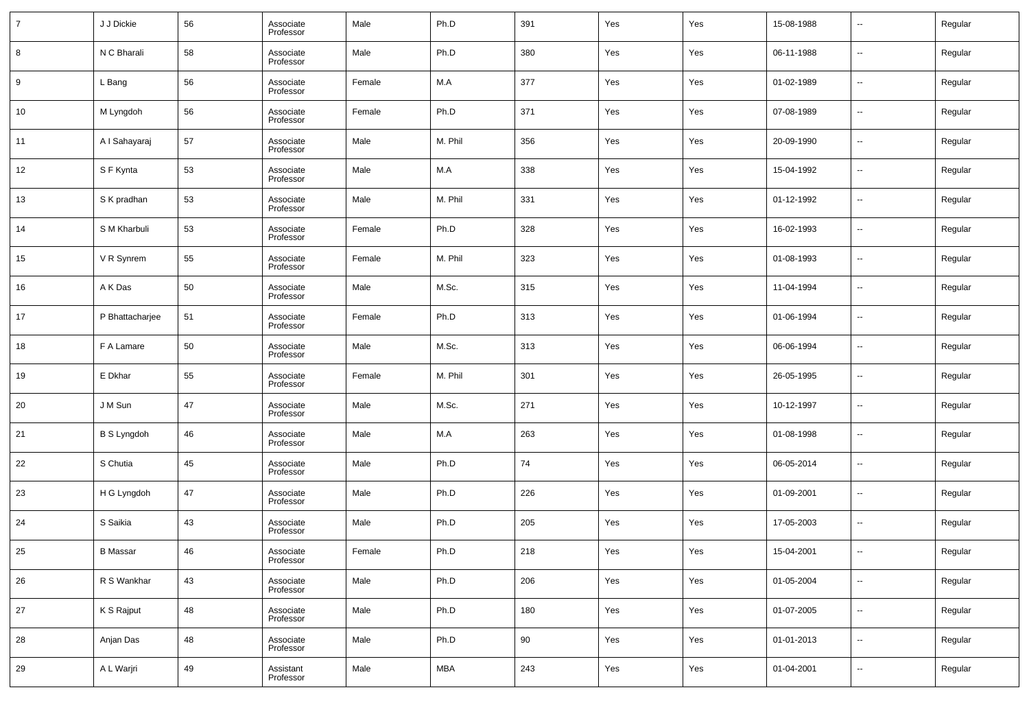| $\overline{7}$ | J J Dickie         | 56 | Associate<br>Professor | Male   | Ph.D       | 391 | Yes | Yes | 15-08-1988 | $\overline{\phantom{a}}$ | Regular |
|----------------|--------------------|----|------------------------|--------|------------|-----|-----|-----|------------|--------------------------|---------|
| 8              | N C Bharali        | 58 | Associate<br>Professor | Male   | Ph.D       | 380 | Yes | Yes | 06-11-1988 | $\overline{\phantom{a}}$ | Regular |
| 9              | L Bang             | 56 | Associate<br>Professor | Female | M.A        | 377 | Yes | Yes | 01-02-1989 | $\overline{\phantom{a}}$ | Regular |
| 10             | M Lyngdoh          | 56 | Associate<br>Professor | Female | Ph.D       | 371 | Yes | Yes | 07-08-1989 | $\overline{\phantom{a}}$ | Regular |
| 11             | A I Sahayaraj      | 57 | Associate<br>Professor | Male   | M. Phil    | 356 | Yes | Yes | 20-09-1990 | $\overline{\phantom{a}}$ | Regular |
| 12             | S F Kynta          | 53 | Associate<br>Professor | Male   | M.A        | 338 | Yes | Yes | 15-04-1992 | $\overline{\phantom{a}}$ | Regular |
| 13             | S K pradhan        | 53 | Associate<br>Professor | Male   | M. Phil    | 331 | Yes | Yes | 01-12-1992 | $\overline{\phantom{a}}$ | Regular |
| 14             | S M Kharbuli       | 53 | Associate<br>Professor | Female | Ph.D       | 328 | Yes | Yes | 16-02-1993 | $\overline{\phantom{a}}$ | Regular |
| 15             | V R Synrem         | 55 | Associate<br>Professor | Female | M. Phil    | 323 | Yes | Yes | 01-08-1993 | $\overline{\phantom{a}}$ | Regular |
| 16             | A K Das            | 50 | Associate<br>Professor | Male   | M.Sc.      | 315 | Yes | Yes | 11-04-1994 | $\overline{\phantom{a}}$ | Regular |
| 17             | P Bhattacharjee    | 51 | Associate<br>Professor | Female | Ph.D       | 313 | Yes | Yes | 01-06-1994 | $\overline{\phantom{a}}$ | Regular |
| 18             | F A Lamare         | 50 | Associate<br>Professor | Male   | M.Sc.      | 313 | Yes | Yes | 06-06-1994 | $\overline{\phantom{a}}$ | Regular |
| 19             | E Dkhar            | 55 | Associate<br>Professor | Female | M. Phil    | 301 | Yes | Yes | 26-05-1995 | $\overline{\phantom{a}}$ | Regular |
| 20             | J M Sun            | 47 | Associate<br>Professor | Male   | M.Sc.      | 271 | Yes | Yes | 10-12-1997 | $\overline{\phantom{a}}$ | Regular |
| 21             | <b>B S Lyngdoh</b> | 46 | Associate<br>Professor | Male   | M.A        | 263 | Yes | Yes | 01-08-1998 | $\overline{\phantom{a}}$ | Regular |
| 22             | S Chutia           | 45 | Associate<br>Professor | Male   | Ph.D       | 74  | Yes | Yes | 06-05-2014 | $\overline{\phantom{a}}$ | Regular |
| 23             | H G Lyngdoh        | 47 | Associate<br>Professor | Male   | Ph.D       | 226 | Yes | Yes | 01-09-2001 | $\overline{\phantom{a}}$ | Regular |
| 24             | S Saikia           | 43 | Associate<br>Professor | Male   | Ph.D       | 205 | Yes | Yes | 17-05-2003 | $\overline{\phantom{a}}$ | Regular |
| 25             | <b>B</b> Massar    | 46 | Associate<br>Professor | Female | Ph.D       | 218 | Yes | Yes | 15-04-2001 | $\overline{\phantom{a}}$ | Regular |
| 26             | R S Wankhar        | 43 | Associate<br>Professor | Male   | Ph.D       | 206 | Yes | Yes | 01-05-2004 | $\overline{\phantom{a}}$ | Regular |
| 27             | K S Rajput         | 48 | Associate<br>Professor | Male   | Ph.D       | 180 | Yes | Yes | 01-07-2005 | $\overline{\phantom{a}}$ | Regular |
| 28             | Anjan Das          | 48 | Associate<br>Professor | Male   | Ph.D       | 90  | Yes | Yes | 01-01-2013 | $\overline{\phantom{a}}$ | Regular |
| 29             | A L Warjri         | 49 | Assistant<br>Professor | Male   | <b>MBA</b> | 243 | Yes | Yes | 01-04-2001 | $\overline{\phantom{a}}$ | Regular |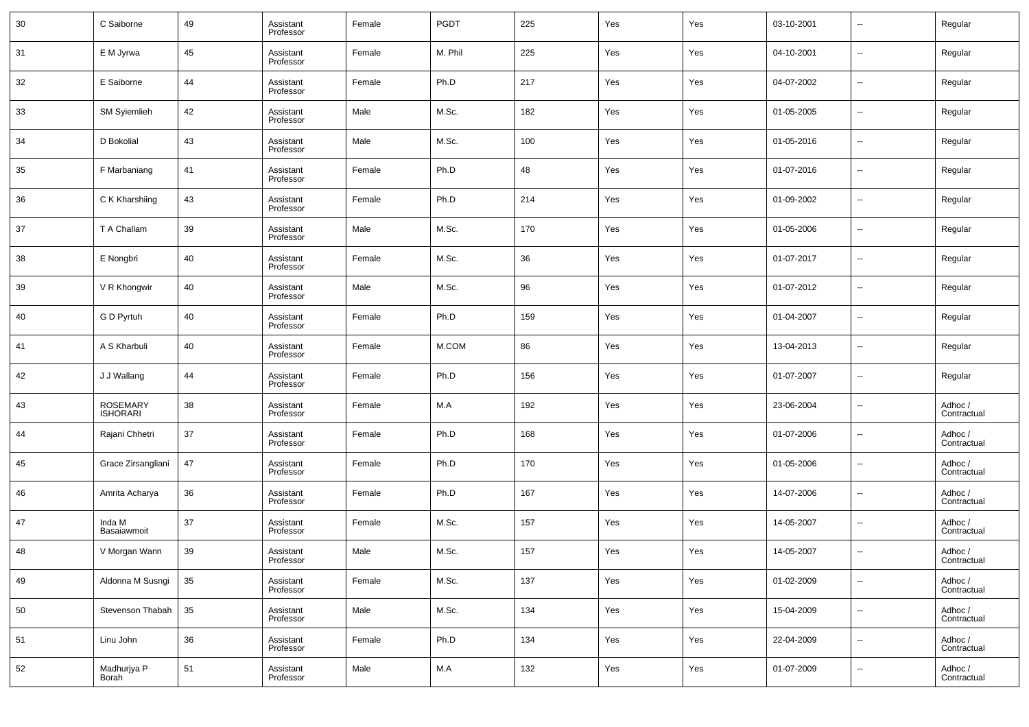| 30 | C Saiborne                         | 49 | Assistant<br>Professor | Female | PGDT    | 225 | Yes | Yes | 03-10-2001 | $\overline{\phantom{a}}$ | Regular                |
|----|------------------------------------|----|------------------------|--------|---------|-----|-----|-----|------------|--------------------------|------------------------|
| 31 | E M Jyrwa                          | 45 | Assistant<br>Professor | Female | M. Phil | 225 | Yes | Yes | 04-10-2001 | $\overline{\phantom{a}}$ | Regular                |
| 32 | E Saiborne                         | 44 | Assistant<br>Professor | Female | Ph.D    | 217 | Yes | Yes | 04-07-2002 | $\overline{\phantom{a}}$ | Regular                |
| 33 | <b>SM Syiemlieh</b>                | 42 | Assistant<br>Professor | Male   | M.Sc.   | 182 | Yes | Yes | 01-05-2005 | $\overline{\phantom{a}}$ | Regular                |
| 34 | D Bokolial                         | 43 | Assistant<br>Professor | Male   | M.Sc.   | 100 | Yes | Yes | 01-05-2016 | $\overline{\phantom{a}}$ | Regular                |
| 35 | F Marbaniang                       | 41 | Assistant<br>Professor | Female | Ph.D    | 48  | Yes | Yes | 01-07-2016 | $\overline{\phantom{a}}$ | Regular                |
| 36 | C K Kharshiing                     | 43 | Assistant<br>Professor | Female | Ph.D    | 214 | Yes | Yes | 01-09-2002 | $\overline{\phantom{a}}$ | Regular                |
| 37 | T A Challam                        | 39 | Assistant<br>Professor | Male   | M.Sc.   | 170 | Yes | Yes | 01-05-2006 | $\overline{\phantom{a}}$ | Regular                |
| 38 | E Nongbri                          | 40 | Assistant<br>Professor | Female | M.Sc.   | 36  | Yes | Yes | 01-07-2017 | $\overline{\phantom{a}}$ | Regular                |
| 39 | V R Khongwir                       | 40 | Assistant<br>Professor | Male   | M.Sc.   | 96  | Yes | Yes | 01-07-2012 | $\overline{\phantom{a}}$ | Regular                |
| 40 | G D Pyrtuh                         | 40 | Assistant<br>Professor | Female | Ph.D    | 159 | Yes | Yes | 01-04-2007 | $\overline{\phantom{a}}$ | Regular                |
| 41 | A S Kharbuli                       | 40 | Assistant<br>Professor | Female | M.COM   | 86  | Yes | Yes | 13-04-2013 | $\overline{\phantom{a}}$ | Regular                |
| 42 | J J Wallang                        | 44 | Assistant<br>Professor | Female | Ph.D    | 156 | Yes | Yes | 01-07-2007 | $\overline{\phantom{a}}$ | Regular                |
| 43 | <b>ROSEMARY</b><br><b>ISHORARI</b> | 38 | Assistant<br>Professor | Female | M.A     | 192 | Yes | Yes | 23-06-2004 | $\overline{\phantom{a}}$ | Adhoc /<br>Contractual |
| 44 | Rajani Chhetri                     | 37 | Assistant<br>Professor | Female | Ph.D    | 168 | Yes | Yes | 01-07-2006 | $\overline{\phantom{a}}$ | Adhoc /<br>Contractual |
| 45 | Grace Zirsangliani                 | 47 | Assistant<br>Professor | Female | Ph.D    | 170 | Yes | Yes | 01-05-2006 | $\overline{\phantom{a}}$ | Adhoc /<br>Contractual |
| 46 | Amrita Acharya                     | 36 | Assistant<br>Professor | Female | Ph.D    | 167 | Yes | Yes | 14-07-2006 | $\overline{\phantom{a}}$ | Adhoc /<br>Contractual |
| 47 | Inda M<br>Basaiawmoit              | 37 | Assistant<br>Professor | Female | M.Sc.   | 157 | Yes | Yes | 14-05-2007 | $\overline{\phantom{a}}$ | Adhoc /<br>Contractual |
| 48 | V Morgan Wann                      | 39 | Assistant<br>Professor | Male   | M.Sc.   | 157 | Yes | Yes | 14-05-2007 | $\overline{\phantom{a}}$ | Adhoc /<br>Contractual |
| 49 | Aldonna M Susngi                   | 35 | Assistant<br>Professor | Female | M.Sc.   | 137 | Yes | Yes | 01-02-2009 | $\overline{\phantom{a}}$ | Adhoc /<br>Contractual |
| 50 | Stevenson Thabah                   | 35 | Assistant<br>Professor | Male   | M.Sc.   | 134 | Yes | Yes | 15-04-2009 | $\overline{\phantom{a}}$ | Adhoc /<br>Contractual |
| 51 | Linu John                          | 36 | Assistant<br>Professor | Female | Ph.D    | 134 | Yes | Yes | 22-04-2009 | $\overline{\phantom{a}}$ | Adhoc /<br>Contractual |
| 52 | Madhurjya P<br>Borah               | 51 | Assistant<br>Professor | Male   | M.A     | 132 | Yes | Yes | 01-07-2009 | $\overline{\phantom{a}}$ | Adhoc /<br>Contractual |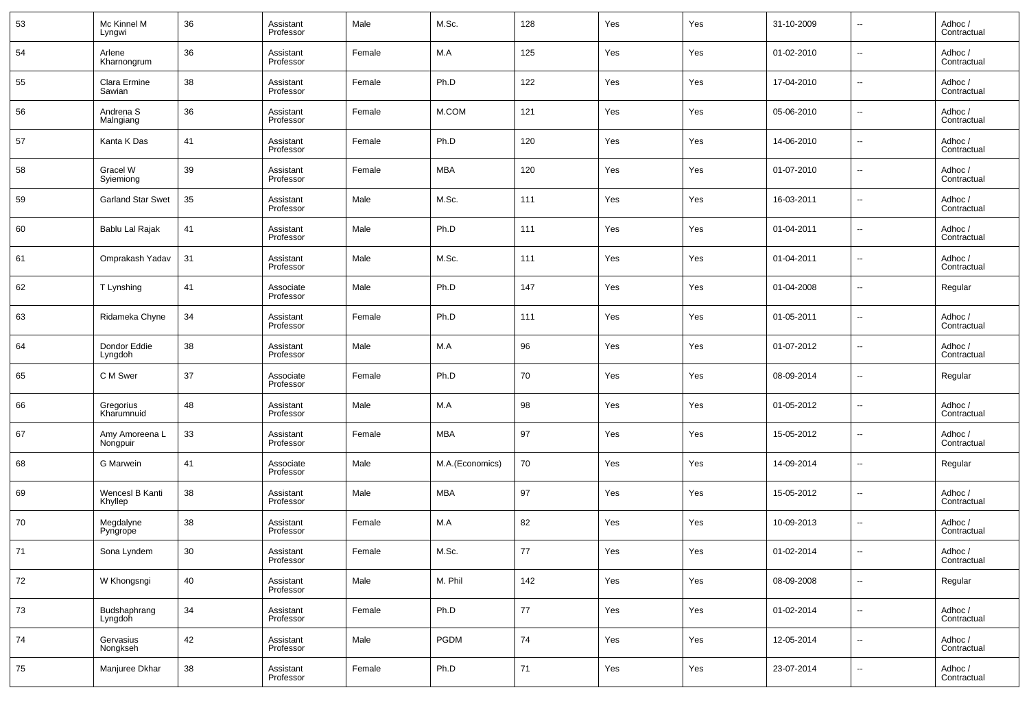| 53 | Mc Kinnel M<br>Lyngwi             | 36 | Assistant<br>Professor | Male   | M.Sc.           | 128 | Yes | Yes | 31-10-2009 | --     | Adhoc /<br>Contractual |
|----|-----------------------------------|----|------------------------|--------|-----------------|-----|-----|-----|------------|--------|------------------------|
| 54 | Arlene<br>Kharnongrum             | 36 | Assistant<br>Professor | Female | M.A             | 125 | Yes | Yes | 01-02-2010 | --     | Adhoc /<br>Contractual |
| 55 | Clara Ermine<br>Sawian            | 38 | Assistant<br>Professor | Female | Ph.D            | 122 | Yes | Yes | 17-04-2010 | --     | Adhoc /<br>Contractual |
| 56 | Andrena <sub>S</sub><br>Malngiang | 36 | Assistant<br>Professor | Female | M.COM           | 121 | Yes | Yes | 05-06-2010 | --     | Adhoc /<br>Contractual |
| 57 | Kanta K Das                       | 41 | Assistant<br>Professor | Female | Ph.D            | 120 | Yes | Yes | 14-06-2010 | --     | Adhoc /<br>Contractual |
| 58 | Gracel W<br>Syiemiong             | 39 | Assistant<br>Professor | Female | MBA             | 120 | Yes | Yes | 01-07-2010 | --     | Adhoc /<br>Contractual |
| 59 | <b>Garland Star Swet</b>          | 35 | Assistant<br>Professor | Male   | M.Sc.           | 111 | Yes | Yes | 16-03-2011 | --     | Adhoc /<br>Contractual |
| 60 | Bablu Lal Rajak                   | 41 | Assistant<br>Professor | Male   | Ph.D            | 111 | Yes | Yes | 01-04-2011 | --     | Adhoc /<br>Contractual |
| 61 | Omprakash Yadav                   | 31 | Assistant<br>Professor | Male   | M.Sc.           | 111 | Yes | Yes | 01-04-2011 | --     | Adhoc /<br>Contractual |
| 62 | T Lynshing                        | 41 | Associate<br>Professor | Male   | Ph.D            | 147 | Yes | Yes | 01-04-2008 | --     | Regular                |
| 63 | Ridameka Chyne                    | 34 | Assistant<br>Professor | Female | Ph.D            | 111 | Yes | Yes | 01-05-2011 | --     | Adhoc /<br>Contractual |
| 64 | Dondor Eddie<br>Lyngdoh           | 38 | Assistant<br>Professor | Male   | M.A             | 96  | Yes | Yes | 01-07-2012 | --     | Adhoc /<br>Contractual |
| 65 | C M Swer                          | 37 | Associate<br>Professor | Female | Ph.D            | 70  | Yes | Yes | 08-09-2014 | --     | Regular                |
| 66 | Gregorius<br>Kharumnuid           | 48 | Assistant<br>Professor | Male   | M.A             | 98  | Yes | Yes | 01-05-2012 | --     | Adhoc /<br>Contractual |
| 67 | Amy Amoreena L<br>Nongpuir        | 33 | Assistant<br>Professor | Female | <b>MBA</b>      | 97  | Yes | Yes | 15-05-2012 | --     | Adhoc /<br>Contractual |
| 68 | <b>G</b> Marwein                  | 41 | Associate<br>Professor | Male   | M.A.(Economics) | 70  | Yes | Yes | 14-09-2014 | --     | Regular                |
| 69 | Wencesl B Kanti<br>Khyllep        | 38 | Assistant<br>Professor | Male   | MBA             | 97  | Yes | Yes | 15-05-2012 | --     | Adhoc /<br>Contractual |
| 70 | Megdalyne<br>Pyngrope             | 38 | Assistant<br>Professor | Female | M.A             | 82  | Yes | Yes | 10-09-2013 | --     | Adhoc /<br>Contractual |
| 71 | Sona Lyndem                       | 30 | Assistant<br>Professor | Female | M.Sc.           | 77  | Yes | Yes | 01-02-2014 | ۰.     | Adhoc /<br>Contractual |
| 72 | W Khongsngi                       | 40 | Assistant<br>Professor | Male   | M. Phil         | 142 | Yes | Yes | 08-09-2008 | $\sim$ | Regular                |
| 73 | Budshaphrang<br>Lyngdoh           | 34 | Assistant<br>Professor | Female | Ph.D            | 77  | Yes | Yes | 01-02-2014 | $\sim$ | Adhoc /<br>Contractual |
| 74 | Gervasius<br>Nongkseh             | 42 | Assistant<br>Professor | Male   | PGDM            | 74  | Yes | Yes | 12-05-2014 | $\sim$ | Adhoc /<br>Contractual |
| 75 | Manjuree Dkhar                    | 38 | Assistant<br>Professor | Female | Ph.D            | 71  | Yes | Yes | 23-07-2014 | $\sim$ | Adhoc /<br>Contractual |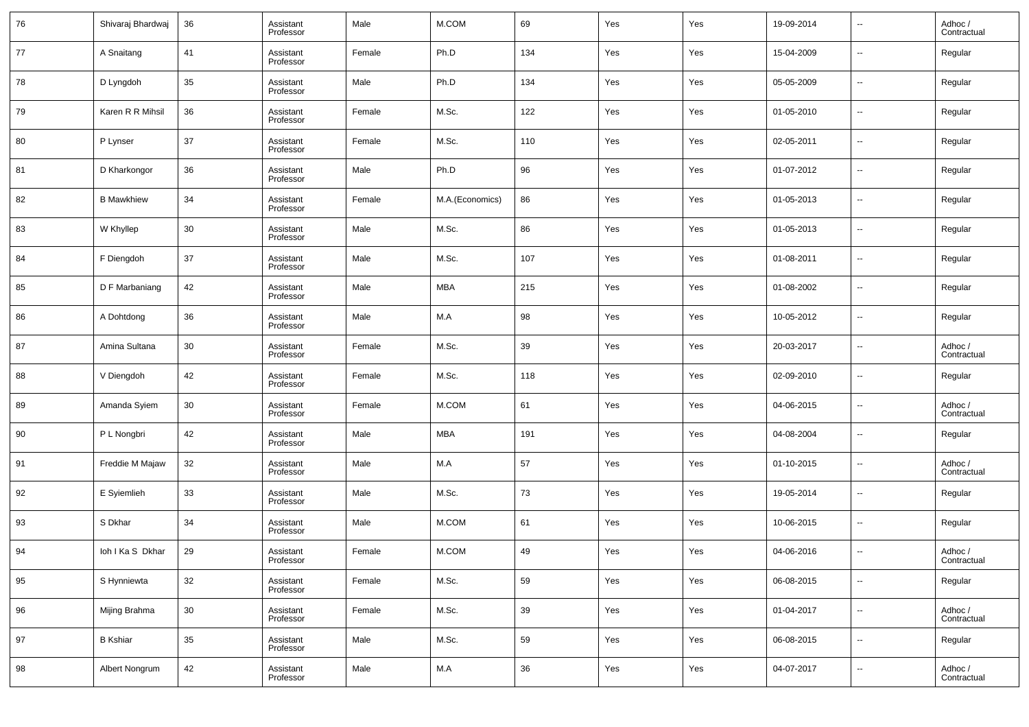| 76 | Shivaraj Bhardwaj | 36 | Assistant<br>Professor | Male   | M.COM           | 69  | Yes | Yes | 19-09-2014 | $\overline{\phantom{a}}$ | Adhoc /<br>Contractual |
|----|-------------------|----|------------------------|--------|-----------------|-----|-----|-----|------------|--------------------------|------------------------|
| 77 | A Snaitang        | 41 | Assistant<br>Professor | Female | Ph.D            | 134 | Yes | Yes | 15-04-2009 | $\overline{\phantom{a}}$ | Regular                |
| 78 | D Lyngdoh         | 35 | Assistant<br>Professor | Male   | Ph.D            | 134 | Yes | Yes | 05-05-2009 | $\overline{\phantom{a}}$ | Regular                |
| 79 | Karen R R Mihsil  | 36 | Assistant<br>Professor | Female | M.Sc.           | 122 | Yes | Yes | 01-05-2010 | $\overline{\phantom{a}}$ | Regular                |
| 80 | P Lynser          | 37 | Assistant<br>Professor | Female | M.Sc.           | 110 | Yes | Yes | 02-05-2011 | $\overline{\phantom{a}}$ | Regular                |
| 81 | D Kharkongor      | 36 | Assistant<br>Professor | Male   | Ph.D            | 96  | Yes | Yes | 01-07-2012 | $\overline{\phantom{a}}$ | Regular                |
| 82 | <b>B</b> Mawkhiew | 34 | Assistant<br>Professor | Female | M.A.(Economics) | 86  | Yes | Yes | 01-05-2013 | $\overline{\phantom{a}}$ | Regular                |
| 83 | W Khyllep         | 30 | Assistant<br>Professor | Male   | M.Sc.           | 86  | Yes | Yes | 01-05-2013 | $\overline{\phantom{a}}$ | Regular                |
| 84 | F Diengdoh        | 37 | Assistant<br>Professor | Male   | M.Sc.           | 107 | Yes | Yes | 01-08-2011 | $\overline{\phantom{a}}$ | Regular                |
| 85 | D F Marbaniang    | 42 | Assistant<br>Professor | Male   | <b>MBA</b>      | 215 | Yes | Yes | 01-08-2002 | $\overline{\phantom{a}}$ | Regular                |
| 86 | A Dohtdong        | 36 | Assistant<br>Professor | Male   | M.A             | 98  | Yes | Yes | 10-05-2012 | $\overline{\phantom{a}}$ | Regular                |
| 87 | Amina Sultana     | 30 | Assistant<br>Professor | Female | M.Sc.           | 39  | Yes | Yes | 20-03-2017 | $\overline{\phantom{a}}$ | Adhoc /<br>Contractual |
| 88 | V Diengdoh        | 42 | Assistant<br>Professor | Female | M.Sc.           | 118 | Yes | Yes | 02-09-2010 | $\overline{\phantom{a}}$ | Regular                |
| 89 | Amanda Syiem      | 30 | Assistant<br>Professor | Female | M.COM           | 61  | Yes | Yes | 04-06-2015 | $\overline{\phantom{a}}$ | Adhoc /<br>Contractual |
| 90 | P L Nongbri       | 42 | Assistant<br>Professor | Male   | <b>MBA</b>      | 191 | Yes | Yes | 04-08-2004 | $\overline{\phantom{a}}$ | Regular                |
| 91 | Freddie M Majaw   | 32 | Assistant<br>Professor | Male   | M.A             | 57  | Yes | Yes | 01-10-2015 | $\overline{\phantom{a}}$ | Adhoc /<br>Contractual |
| 92 | E Syiemlieh       | 33 | Assistant<br>Professor | Male   | M.Sc.           | 73  | Yes | Yes | 19-05-2014 | $\overline{\phantom{a}}$ | Regular                |
| 93 | S Dkhar           | 34 | Assistant<br>Professor | Male   | M.COM           | 61  | Yes | Yes | 10-06-2015 | $\overline{\phantom{a}}$ | Regular                |
| 94 | loh I Ka S Dkhar  | 29 | Assistant<br>Professor | Female | M.COM           | 49  | Yes | Yes | 04-06-2016 | $\overline{\phantom{a}}$ | Adhoc /<br>Contractual |
| 95 | S Hynniewta       | 32 | Assistant<br>Professor | Female | M.Sc.           | 59  | Yes | Yes | 06-08-2015 | $\overline{\phantom{a}}$ | Regular                |
| 96 | Mijing Brahma     | 30 | Assistant<br>Professor | Female | M.Sc.           | 39  | Yes | Yes | 01-04-2017 | $\overline{\phantom{a}}$ | Adhoc /<br>Contractual |
| 97 | <b>B</b> Kshiar   | 35 | Assistant<br>Professor | Male   | M.Sc.           | 59  | Yes | Yes | 06-08-2015 | $\overline{\phantom{a}}$ | Regular                |
| 98 | Albert Nongrum    | 42 | Assistant<br>Professor | Male   | M.A             | 36  | Yes | Yes | 04-07-2017 | $\overline{\phantom{a}}$ | Adhoc /<br>Contractual |